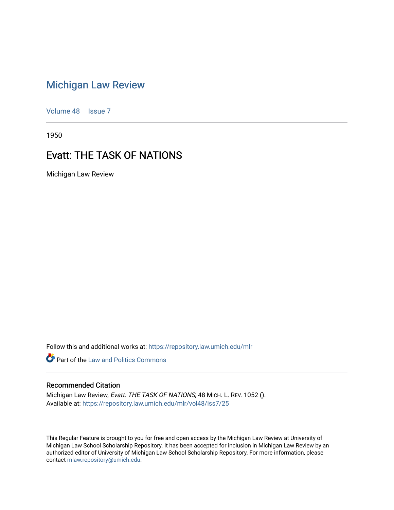## [Michigan Law Review](https://repository.law.umich.edu/mlr)

[Volume 48](https://repository.law.umich.edu/mlr/vol48) | [Issue 7](https://repository.law.umich.edu/mlr/vol48/iss7)

1950

## **Evatt: THE TASK OF NATIONS**

Michigan Law Review

Follow this and additional works at: [https://repository.law.umich.edu/mlr](https://repository.law.umich.edu/mlr?utm_source=repository.law.umich.edu%2Fmlr%2Fvol48%2Fiss7%2F25&utm_medium=PDF&utm_campaign=PDFCoverPages) 

**Part of the Law and Politics Commons** 

## Recommended Citation

Michigan Law Review, Evatt: THE TASK OF NATIONS, 48 MICH. L. REV. 1052 (). Available at: [https://repository.law.umich.edu/mlr/vol48/iss7/25](https://repository.law.umich.edu/mlr/vol48/iss7/25?utm_source=repository.law.umich.edu%2Fmlr%2Fvol48%2Fiss7%2F25&utm_medium=PDF&utm_campaign=PDFCoverPages) 

This Regular Feature is brought to you for free and open access by the Michigan Law Review at University of Michigan Law School Scholarship Repository. It has been accepted for inclusion in Michigan Law Review by an authorized editor of University of Michigan Law School Scholarship Repository. For more information, please contact [mlaw.repository@umich.edu](mailto:mlaw.repository@umich.edu).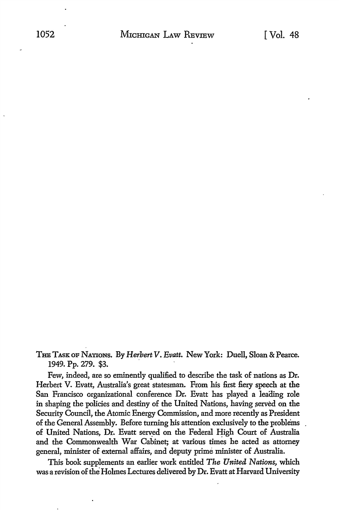THE TASK OF NATIONS. By *Herbert V. Evatt.* New York: Duell, Sloan & Pearce. 1949. Pp. 279. \$3.

Few, indeed, are so eminently qualified to describe the task of nations as Dr. Herbert V. Evatt, Australia's great statesman. From his first fiery speech at the San Francisco organizational conference Dr. Evatt has played a leading role in shaping the policies and destiny of the United Nations, having served on the Security Council, the Atomic Energy Commission, and more recently as President of the General Assembly. Before turning his attention exclusively to the problems of United Nations, Dr. Evatt served on the Federal High Court of Australia and the Commonwealth War Cabinet; at various times he acted as attorney general, minister of external affairs, and deputy prime minister of Australia.

This book supplements an earlier work entitled *The United Nations,* which was a revision of the Holmes Lectures delivered by Dr. Evatt at Harvard University